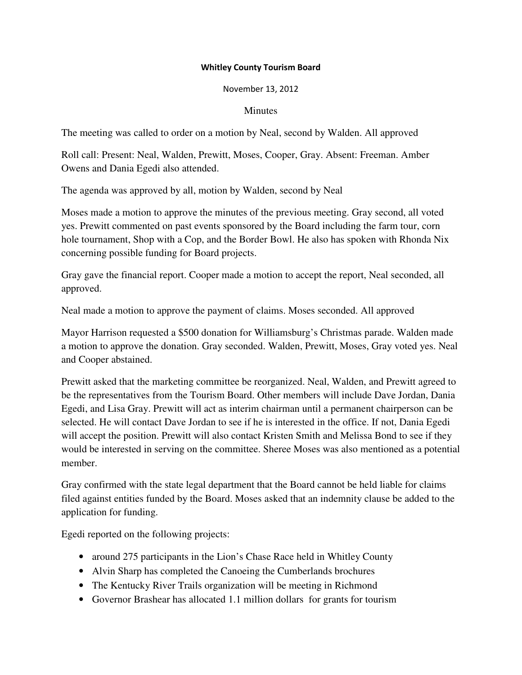## Whitley County Tourism Board

## November 13, 2012

## **Minutes**

The meeting was called to order on a motion by Neal, second by Walden. All approved

Roll call: Present: Neal, Walden, Prewitt, Moses, Cooper, Gray. Absent: Freeman. Amber Owens and Dania Egedi also attended.

The agenda was approved by all, motion by Walden, second by Neal

Moses made a motion to approve the minutes of the previous meeting. Gray second, all voted yes. Prewitt commented on past events sponsored by the Board including the farm tour, corn hole tournament, Shop with a Cop, and the Border Bowl. He also has spoken with Rhonda Nix concerning possible funding for Board projects.

Gray gave the financial report. Cooper made a motion to accept the report, Neal seconded, all approved.

Neal made a motion to approve the payment of claims. Moses seconded. All approved

Mayor Harrison requested a \$500 donation for Williamsburg's Christmas parade. Walden made a motion to approve the donation. Gray seconded. Walden, Prewitt, Moses, Gray voted yes. Neal and Cooper abstained.

Prewitt asked that the marketing committee be reorganized. Neal, Walden, and Prewitt agreed to be the representatives from the Tourism Board. Other members will include Dave Jordan, Dania Egedi, and Lisa Gray. Prewitt will act as interim chairman until a permanent chairperson can be selected. He will contact Dave Jordan to see if he is interested in the office. If not, Dania Egedi will accept the position. Prewitt will also contact Kristen Smith and Melissa Bond to see if they would be interested in serving on the committee. Sheree Moses was also mentioned as a potential member.

Gray confirmed with the state legal department that the Board cannot be held liable for claims filed against entities funded by the Board. Moses asked that an indemnity clause be added to the application for funding.

Egedi reported on the following projects:

- around 275 participants in the Lion's Chase Race held in Whitley County
- Alvin Sharp has completed the Canoeing the Cumberlands brochures
- The Kentucky River Trails organization will be meeting in Richmond
- Governor Brashear has allocated 1.1 million dollars for grants for tourism